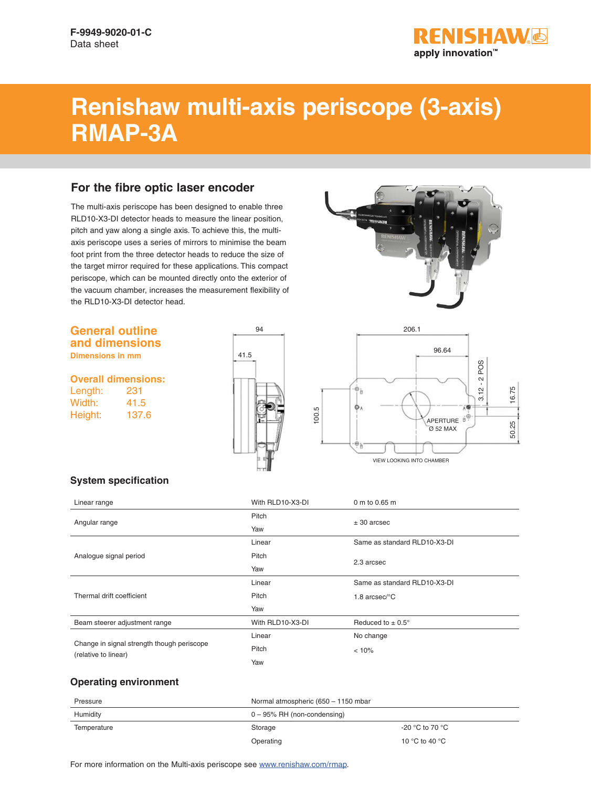

# **Renishaw multi-axis periscope (3-axis) RMAP-3A**

### **For the fibre optic laser encoder**

The multi-axis periscope has been designed to enable three RLD10-X3-DI detector heads to measure the linear position, pitch and yaw along a single axis. To achieve this, the multiaxis periscope uses a series of mirrors to minimise the beam foot print from the three detector heads to reduce the size of the target mirror required for these applications. This compact periscope, which can be mounted directly onto the exterior of the vacuum chamber, increases the measurement flexibility of the RLD10-X3-DI detector head.

#### **General outline and dimensions**

**Dimensions in mm**

**Overall dimensions:**

Length: 231 Width: 41.5 Height: 137.6







#### **System specification**

| Linear range                                                       | With RLD10-X3-DI | 0 m to 0.65 m                 |  |
|--------------------------------------------------------------------|------------------|-------------------------------|--|
| Angular range                                                      | Pitch            |                               |  |
|                                                                    | Yaw              | $± 30$ arcsec                 |  |
| Analogue signal period                                             | Linear           | Same as standard RLD10-X3-DI  |  |
|                                                                    | Pitch            | 2.3 arcsec                    |  |
|                                                                    | Yaw              |                               |  |
| Thermal drift coefficient                                          | Linear           | Same as standard RLD10-X3-DI  |  |
|                                                                    | Pitch            | 1.8 $arcsec$ <sup>o</sup> $C$ |  |
|                                                                    | Yaw              |                               |  |
| Beam steerer adjustment range                                      | With RLD10-X3-DI | Reduced to $\pm$ 0.5°         |  |
| Change in signal strength though periscope<br>(relative to linear) | Linear           | No change                     |  |
|                                                                    | Pitch            | < 10%                         |  |
|                                                                    | Yaw              |                               |  |

#### **Operating environment**

| Pressure    | Normal atmospheric (650 - 1150 mbar |                 |
|-------------|-------------------------------------|-----------------|
| Humidity    | $0 - 95\%$ RH (non-condensing)      |                 |
| Temperature | Storage                             | -20 °C to 70 °C |
|             | Operating                           | 10 °C to 40 °C  |

For more information on the Multi-axis periscope see [www.renishaw.com/](http://www.renishaw.com/en/rmap-multi-axis-periscope--43646)rmap.